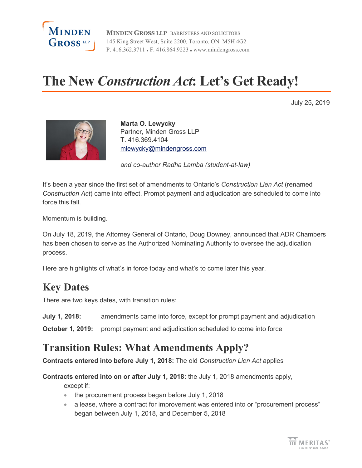

**MINDEN GROSS LLP** BARRISTERS AND SOLICITORS 145 King Street West, Suite 2200, Toronto, ON M5H 4G2 P. 416.362.3711 F. 416.864.9223 www.mindengross.com

# **The New** *Construction Act***: Let's Get Ready!**

July 25, 2019



**Marta O. Lewycky** Partner, Minden Gross LLP T. 416.369.4104 [mlewycky@mindengross.com](mailto:mlewycky@mindengross.com)

*and co-author Radha Lamba (student-at-law)*

It's been a year since the first set of amendments to Ontario's *Construction Lien Act* (renamed *Construction Act*) came into effect. Prompt payment and adjudication are scheduled to come into force this fall.

Momentum is building.

On July 18, 2019, the Attorney General of Ontario, Doug Downey, announced that ADR Chambers has been chosen to serve as the Authorized Nominating Authority to oversee the adjudication process.

Here are highlights of what's in force today and what's to come later this year.

## **Key Dates**

There are two keys dates, with transition rules:

**July 1, 2018:** amendments came into force, except for prompt payment and adjudication

**October 1, 2019:** prompt payment and adjudication scheduled to come into force

## **Transition Rules: What Amendments Apply?**

**Contracts entered into before July 1, 2018:** The old *Construction Lien Act* applies

**Contracts entered into on or after July 1, 2018:** the July 1, 2018 amendments apply,

except if:

- the procurement process began before July 1, 2018
- a lease, where a contract for improvement was entered into or "procurement process" began between July 1, 2018, and December 5, 2018

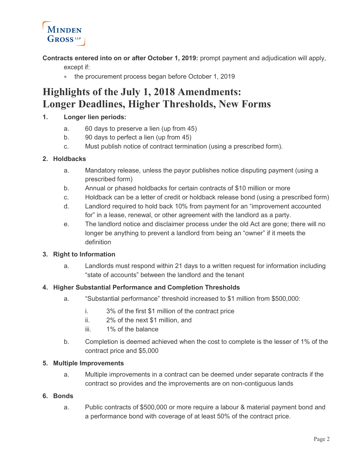

**Contracts entered into on or after October 1, 2019:** prompt payment and adjudication will apply,

except if:

• the procurement process began before October 1, 2019

## **Highlights of the July 1, 2018 Amendments: Longer Deadlines, Higher Thresholds, New Forms**

#### **1. Longer lien periods:**

- a. 60 days to preserve a lien (up from 45)
- b. 90 days to perfect a lien (up from 45)
- c. Must publish notice of contract termination (using a prescribed form).

#### **2. Holdbacks**

- a. Mandatory release, unless the payor publishes notice disputing payment (using a prescribed form)
- b. Annual or phased holdbacks for certain contracts of \$10 million or more
- c. Holdback can be a letter of credit or holdback release bond (using a prescribed form)
- d. Landlord required to hold back 10% from payment for an "improvement accounted for" in a lease, renewal, or other agreement with the landlord as a party.
- e. The landlord notice and disclaimer process under the old Act are gone; there will no longer be anything to prevent a landlord from being an "owner" if it meets the definition

#### **3. Right to Information**

a. Landlords must respond within 21 days to a written request for information including "state of accounts" between the landlord and the tenant

#### **4. Higher Substantial Performance and Completion Thresholds**

- a. "Substantial performance" threshold increased to \$1 million from \$500,000:
	- i. 3% of the first \$1 million of the contract price
	- ii. 2% of the next \$1 million, and
	- iii. 1% of the balance
- b. Completion is deemed achieved when the cost to complete is the lesser of 1% of the contract price and \$5,000

#### **5. Multiple Improvements**

a. Multiple improvements in a contract can be deemed under separate contracts if the contract so provides and the improvements are on non-contiguous lands

#### **6. Bonds**

a. Public contracts of \$500,000 or more require a labour & material payment bond and a performance bond with coverage of at least 50% of the contract price.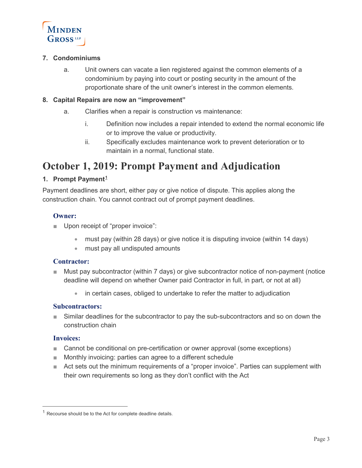

#### **7. Condominiums**

a. Unit owners can vacate a lien registered against the common elements of a condominium by paying into court or posting security in the amount of the proportionate share of the unit owner's interest in the common elements.

#### **8. Capital Repairs are now an "improvement"**

- a. Clarifies when a repair is construction vs maintenance:
	- i. Definition now includes a repair intended to extend the normal economic life or to improve the value or productivity.
	- ii. Specifically excludes maintenance work to prevent deterioration or to maintain in a normal, functional state.

## **October 1, 2019: Prompt Payment and Adjudication**

#### **1. Prompt Payment[1](#page-2-0)**

Payment deadlines are short, either pay or give notice of dispute. This applies along the construction chain. You cannot contract out of prompt payment deadlines.

#### **Owner:**

- Upon receipt of "proper invoice":
	- must pay (within 28 days) or give notice it is disputing invoice (within 14 days)
	- must pay all undisputed amounts

#### **Contractor:**

- Must pay subcontractor (within 7 days) or give subcontractor notice of non-payment (notice deadline will depend on whether Owner paid Contractor in full, in part, or not at all)
	- in certain cases, obliged to undertake to refer the matter to adjudication

#### **Subcontractors:**

Similar deadlines for the subcontractor to pay the sub-subcontractors and so on down the construction chain

#### **Invoices:**

- Cannot be conditional on pre-certification or owner approval (some exceptions)
- Monthly invoicing: parties can agree to a different schedule
- Act sets out the minimum requirements of a "proper invoice". Parties can supplement with their own requirements so long as they don't conflict with the Act

<span id="page-2-0"></span> $1$  Recourse should be to the Act for complete deadline details.